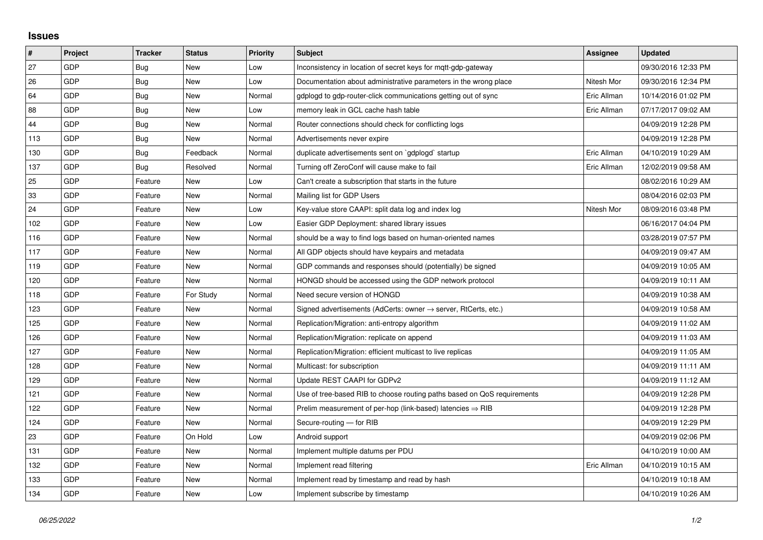## **Issues**

| #   | Project    | <b>Tracker</b> | <b>Status</b> | <b>Priority</b> | <b>Subject</b>                                                          | Assignee    | <b>Updated</b>      |
|-----|------------|----------------|---------------|-----------------|-------------------------------------------------------------------------|-------------|---------------------|
| 27  | GDP        | Bug            | <b>New</b>    | Low             | Inconsistency in location of secret keys for mgtt-gdp-gateway           |             | 09/30/2016 12:33 PM |
| 26  | <b>GDP</b> | Bug            | <b>New</b>    | Low             | Documentation about administrative parameters in the wrong place        | Nitesh Mor  | 09/30/2016 12:34 PM |
| 64  | GDP        | Bug            | <b>New</b>    | Normal          | gdplogd to gdp-router-click communications getting out of sync          | Eric Allman | 10/14/2016 01:02 PM |
| 88  | GDP        | Bug            | <b>New</b>    | Low             | memory leak in GCL cache hash table                                     | Eric Allman | 07/17/2017 09:02 AM |
| 44  | <b>GDP</b> | Bug            | <b>New</b>    | Normal          | Router connections should check for conflicting logs                    |             | 04/09/2019 12:28 PM |
| 113 | GDP        | Bug            | <b>New</b>    | Normal          | Advertisements never expire                                             |             | 04/09/2019 12:28 PM |
| 130 | <b>GDP</b> | Bug            | Feedback      | Normal          | duplicate advertisements sent on `gdplogd` startup                      | Eric Allman | 04/10/2019 10:29 AM |
| 137 | <b>GDP</b> | <b>Bug</b>     | Resolved      | Normal          | Turning off ZeroConf will cause make to fail                            | Eric Allman | 12/02/2019 09:58 AM |
| 25  | <b>GDP</b> | Feature        | New           | Low             | Can't create a subscription that starts in the future                   |             | 08/02/2016 10:29 AM |
| 33  | <b>GDP</b> | Feature        | <b>New</b>    | Normal          | Mailing list for GDP Users                                              |             | 08/04/2016 02:03 PM |
| 24  | <b>GDP</b> | Feature        | <b>New</b>    | Low             | Key-value store CAAPI: split data log and index log                     | Nitesh Mor  | 08/09/2016 03:48 PM |
| 102 | GDP        | Feature        | New           | Low             | Easier GDP Deployment: shared library issues                            |             | 06/16/2017 04:04 PM |
| 116 | <b>GDP</b> | Feature        | <b>New</b>    | Normal          | should be a way to find logs based on human-oriented names              |             | 03/28/2019 07:57 PM |
| 117 | GDP        | Feature        | <b>New</b>    | Normal          | All GDP objects should have keypairs and metadata                       |             | 04/09/2019 09:47 AM |
| 119 | <b>GDP</b> | Feature        | New           | Normal          | GDP commands and responses should (potentially) be signed               |             | 04/09/2019 10:05 AM |
| 120 | <b>GDP</b> | Feature        | <b>New</b>    | Normal          | HONGD should be accessed using the GDP network protocol                 |             | 04/09/2019 10:11 AM |
| 118 | <b>GDP</b> | Feature        | For Study     | Normal          | Need secure version of HONGD                                            |             | 04/09/2019 10:38 AM |
| 123 | <b>GDP</b> | Feature        | New           | Normal          | Signed advertisements (AdCerts: owner → server, RtCerts, etc.)          |             | 04/09/2019 10:58 AM |
| 125 | <b>GDP</b> | Feature        | <b>New</b>    | Normal          | Replication/Migration: anti-entropy algorithm                           |             | 04/09/2019 11:02 AM |
| 126 | GDP        | Feature        | <b>New</b>    | Normal          | Replication/Migration: replicate on append                              |             | 04/09/2019 11:03 AM |
| 127 | <b>GDP</b> | Feature        | New           | Normal          | Replication/Migration: efficient multicast to live replicas             |             | 04/09/2019 11:05 AM |
| 128 | <b>GDP</b> | Feature        | <b>New</b>    | Normal          | Multicast: for subscription                                             |             | 04/09/2019 11:11 AM |
| 129 | GDP        | Feature        | <b>New</b>    | Normal          | Update REST CAAPI for GDPv2                                             |             | 04/09/2019 11:12 AM |
| 121 | GDP        | Feature        | New           | Normal          | Use of tree-based RIB to choose routing paths based on QoS requirements |             | 04/09/2019 12:28 PM |
| 122 | <b>GDP</b> | Feature        | New           | Normal          | Prelim measurement of per-hop (link-based) latencies ⇒ RIB              |             | 04/09/2019 12:28 PM |
| 124 | GDP        | Feature        | <b>New</b>    | Normal          | Secure-routing - for RIB                                                |             | 04/09/2019 12:29 PM |
| 23  | GDP        | Feature        | On Hold       | Low             | Android support                                                         |             | 04/09/2019 02:06 PM |
| 131 | GDP        | Feature        | <b>New</b>    | Normal          | Implement multiple datums per PDU                                       |             | 04/10/2019 10:00 AM |
| 132 | GDP        | Feature        | <b>New</b>    | Normal          | Implement read filtering                                                | Eric Allman | 04/10/2019 10:15 AM |
| 133 | <b>GDP</b> | Feature        | New           | Normal          | Implement read by timestamp and read by hash                            |             | 04/10/2019 10:18 AM |
| 134 | GDP        | Feature        | <b>New</b>    | Low             | Implement subscribe by timestamp                                        |             | 04/10/2019 10:26 AM |